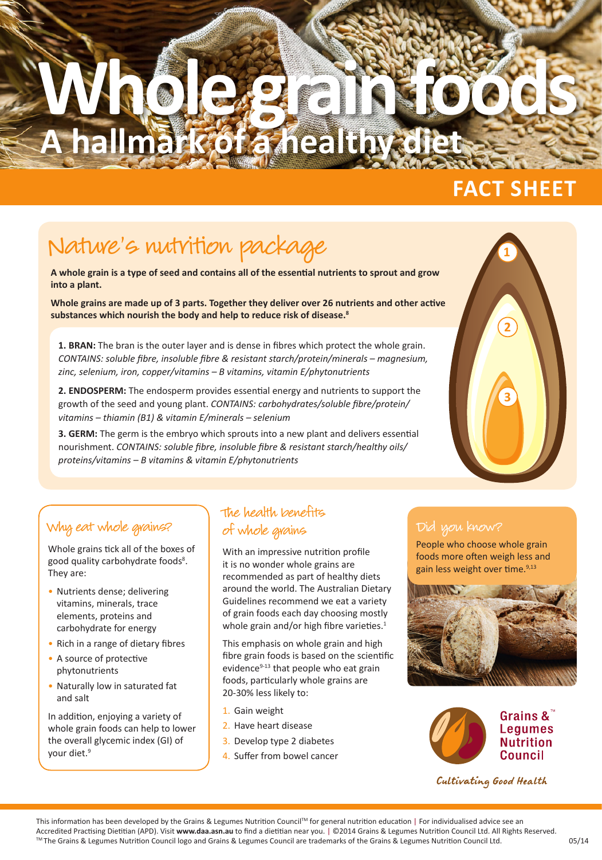## Whole grain foods **A hallmark of a healthy di**

### **FACT SHEET**

## Nature's nutrition package

**A whole grain is a type of seed and contains all of the essential nutrients to sprout and grow into a plant.** 

**Whole grains are made up of 3 parts. Together they deliver over 26 nutrients and other active substances which nourish the body and help to reduce risk of disease.<sup>8</sup>**

**1. BRAN:** The bran is the outer layer and is dense in fibres which protect the whole grain. *CONTAINS: soluble fibre, insoluble fibre & resistant starch/protein/minerals – magnesium, zinc, selenium, iron, copper/vitamins – B vitamins, vitamin E/phytonutrients*

**2. ENDOSPERM:** The endosperm provides essential energy and nutrients to support the growth of the seed and young plant. *CONTAINS: carbohydrates/soluble fibre/protein/ vitamins – thiamin (B1) & vitamin E/minerals – selenium* 

**3. GERM:** The germ is the embryo which sprouts into a new plant and delivers essential nourishment. *CONTAINS: soluble fibre, insoluble fibre & resistant starch/healthy oils/ proteins/vitamins – B vitamins & vitamin E/phytonutrients*

# **1 2 3**

#### Why eat whole grains?

Whole grains tick all of the boxes of good quality carbohydrate foods<sup>8</sup>. They are:

- Nutrients dense; delivering vitamins, minerals, trace elements, proteins and carbohydrate for energy
- Rich in a range of dietary fibres
- A source of protective phytonutrients
- Naturally low in saturated fat and salt

In addition, enjoying a variety of whole grain foods can help to lower the overall glycemic index (GI) of your diet.<sup>9</sup>

#### The health benefits of whole grains

With an impressive nutrition profile it is no wonder whole grains are recommended as part of healthy diets around the world. The Australian Dietary Guidelines recommend we eat a variety of grain foods each day choosing mostly whole grain and/or high fibre varieties.<sup>1</sup>

This emphasis on whole grain and high fibre grain foods is based on the scientific evidence<sup>9-13</sup> that people who eat grain foods, particularly whole grains are 20-30% less likely to:

- 1. Gain weight
- 2. Have heart disease
- 3. Develop type 2 diabetes
- 4. Suffer from bowel cancer

People who choose whole grain foods more often weigh less and gain less weight over time. $9,13$ 





Cultivating Good Health

This information has been developed by the Grains & Legumes Nutrition Council™ for general nutrition education | For individualised advice see an Accredited Practising Dietitian (APD). Visit **www.daa.asn.au** to find a dietitian near you. | ©2014 Grains & Legumes Nutrition Council Ltd. All Rights Reserved. ™ The Grains & Legumes Nutrition Council logo and Grains & Legumes Council are trademarks of the Grains & Legumes Nutrition Council Ltd.